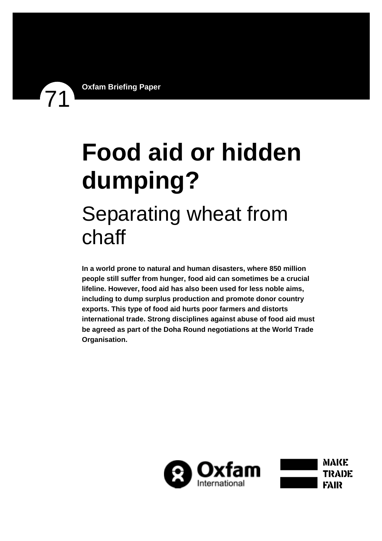# **Food aid or hidden dumping?**  Separating wheat from chaff

**In a world prone to natural and human disasters, where 850 million people still suffer from hunger, food aid can sometimes be a crucial lifeline. However, food aid has also been used for less noble aims, including to dump surplus production and promote donor country exports. This type of food aid hurts poor farmers and distorts international trade. Strong disciplines against abuse of food aid must be agreed as part of the Doha Round negotiations at the World Trade Organisation.** 

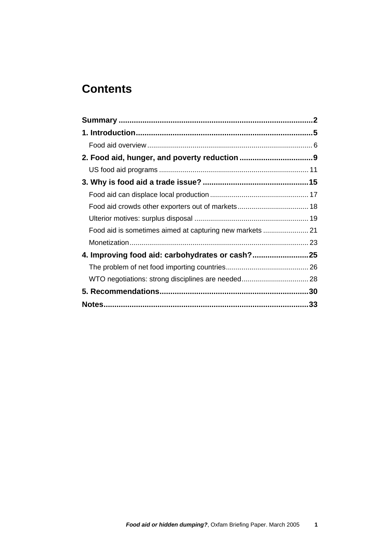# **Contents**

| 4. Improving food aid: carbohydrates or cash?25 |  |
|-------------------------------------------------|--|
|                                                 |  |
|                                                 |  |
|                                                 |  |
|                                                 |  |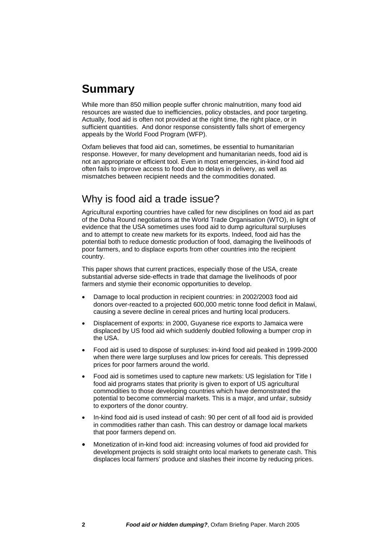# <span id="page-2-0"></span>**Summary**

While more than 850 million people suffer chronic malnutrition, many food aid resources are wasted due to inefficiencies, policy obstacles, and poor targeting. Actually, food aid is often not provided at the right time, the right place, or in sufficient quantities. And donor response consistently falls short of emergency appeals by the World Food Program (WFP).

Oxfam believes that food aid can, sometimes, be essential to humanitarian response. However, for many development and humanitarian needs, food aid is not an appropriate or efficient tool. Even in most emergencies, in-kind food aid often fails to improve access to food due to delays in delivery, as well as mismatches between recipient needs and the commodities donated.

## Why is food aid a trade issue?

Agricultural exporting countries have called for new disciplines on food aid as part of the Doha Round negotiations at the World Trade Organisation (WTO), in light of evidence that the USA sometimes uses food aid to dump agricultural surpluses and to attempt to create new markets for its exports. Indeed, food aid has the potential both to reduce domestic production of food, damaging the livelihoods of poor farmers, and to displace exports from other countries into the recipient country.

This paper shows that current practices, especially those of the USA, create substantial adverse side-effects in trade that damage the livelihoods of poor farmers and stymie their economic opportunities to develop.

- Damage to local production in recipient countries: in 2002/2003 food aid donors over-reacted to a projected 600,000 metric tonne food deficit in Malawi, causing a severe decline in cereal prices and hurting local producers.
- Displacement of exports: in 2000, Guyanese rice exports to Jamaica were displaced by US food aid which suddenly doubled following a bumper crop in the USA.
- Food aid is used to dispose of surpluses: in-kind food aid peaked in 1999-2000 when there were large surpluses and low prices for cereals. This depressed prices for poor farmers around the world.
- Food aid is sometimes used to capture new markets: US legislation for Title I food aid programs states that priority is given to export of US agricultural commodities to those developing countries which have demonstrated the potential to become commercial markets. This is a major, and unfair, subsidy to exporters of the donor country.
- In-kind food aid is used instead of cash: 90 per cent of all food aid is provided in commodities rather than cash. This can destroy or damage local markets that poor farmers depend on.
- Monetization of in-kind food aid: increasing volumes of food aid provided for development projects is sold straight onto local markets to generate cash. This displaces local farmers' produce and slashes their income by reducing prices.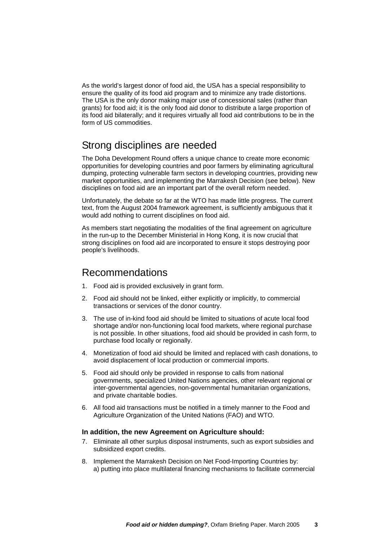As the world's largest donor of food aid, the USA has a special responsibility to ensure the quality of its food aid program and to minimize any trade distortions. The USA is the only donor making major use of concessional sales (rather than grants) for food aid; it is the only food aid donor to distribute a large proportion of its food aid bilaterally; and it requires virtually all food aid contributions to be in the form of US commodities.

## Strong disciplines are needed

The Doha Development Round offers a unique chance to create more economic opportunities for developing countries and poor farmers by eliminating agricultural dumping, protecting vulnerable farm sectors in developing countries, providing new market opportunities, and implementing the Marrakesh Decision (see below). New disciplines on food aid are an important part of the overall reform needed.

Unfortunately, the debate so far at the WTO has made little progress. The current text, from the August 2004 framework agreement, is sufficiently ambiguous that it would add nothing to current disciplines on food aid.

As members start negotiating the modalities of the final agreement on agriculture in the run-up to the December Ministerial in Hong Kong, it is now crucial that strong disciplines on food aid are incorporated to ensure it stops destroying poor people's livelihoods.

#### Recommendations

- 1. Food aid is provided exclusively in grant form.
- 2. Food aid should not be linked, either explicitly or implicitly, to commercial transactions or services of the donor country.
- 3. The use of in-kind food aid should be limited to situations of acute local food shortage and/or non-functioning local food markets, where regional purchase is not possible. In other situations, food aid should be provided in cash form, to purchase food locally or regionally.
- 4. Monetization of food aid should be limited and replaced with cash donations, to avoid displacement of local production or commercial imports.
- 5. Food aid should only be provided in response to calls from national governments, specialized United Nations agencies, other relevant regional or inter-governmental agencies, non-governmental humanitarian organizations, and private charitable bodies.
- 6. All food aid transactions must be notified in a timely manner to the Food and Agriculture Organization of the United Nations (FAO) and WTO.

#### **In addition, the new Agreement on Agriculture should:**

- 7. Eliminate all other surplus disposal instruments, such as export subsidies and subsidized export credits.
- 8. Implement the Marrakesh Decision on Net Food-Importing Countries by: a) putting into place multilateral financing mechanisms to facilitate commercial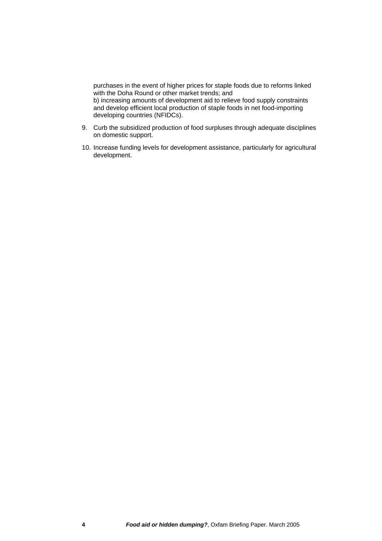purchases in the event of higher prices for staple foods due to reforms linked with the Doha Round or other market trends; and b) increasing amounts of development aid to relieve food supply constraints and develop efficient local production of staple foods in net food-importing developing countries (NFIDCs).

- 9. Curb the subsidized production of food surpluses through adequate disciplines on domestic support.
- 10. Increase funding levels for development assistance, particularly for agricultural development.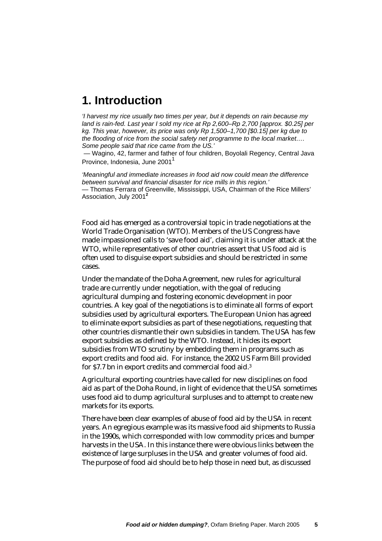# <span id="page-5-0"></span>**1. Introduction**

*'I harvest my rice usually two times per year, but it depends on rain because my land is rain-fed. Last year I sold my rice at Rp 2,600–Rp 2,700 [approx. \$0.25] per kg. This year, however, its price was only Rp 1,500–1,700 [\$0.15] per kg due to the flooding of rice from the social safety net programme to the local market…. Some people said that rice came from the US.'* 

 *—* Wagino, 42, farmer and father of four children, Boyolali Regency, Central Java Province, Indonesia, June 200[1](#page-34-0)<sup>1</sup>

*'Meaningful and immediate increases in food aid now could mean the difference between survival and financial disaster for rice mills in this region.' —* Thomas Ferrara of Greenville, Mississippi, USA, Chairman of the Rice Millers' Association, July 2001**[2](#page-34-1)**

Food aid has emerged as a controversial topic in trade negotiations at the World Trade Organisation (WTO). Members of the US Congress have made impassioned calls to 'save food aid', claiming it is under attack at the WTO, while representatives of other countries assert that US food aid is often used to disguise export subsidies and should be restricted in some cases.

Under the mandate of the Doha Agreement, new rules for agricultural trade are currently under negotiation, with the goal of reducing agricultural dumping and fostering economic development in poor countries. A key goal of the negotiations is to eliminate all forms of export subsidies used by agricultural exporters. The European Union has agreed to eliminate export subsidies as part of these negotiations, requesting that other countries dismantle their own subsidies in tandem. The USA has few export subsidies as defined by the WTO. Instead, it hides its export subsidies from WTO scrutiny by embedding them in programs such as export credits and food aid. For instance, the 2002 US Farm Bill provided for \$7.7 bn in export credits and commercial food aid.[3](#page-34-2)

Agricultural exporting countries have called for new disciplines on food aid as part of the Doha Round, in light of evidence that the USA sometimes uses food aid to dump agricultural surpluses and to attempt to create new markets for its exports.

There have been clear examples of abuse of food aid by the USA in recent years. An egregious example was its massive food aid shipments to Russia in the 1990s, which corresponded with low commodity prices and bumper harvests in the USA. In this instance there were obvious links between the existence of large surpluses in the USA and greater volumes of food aid. The purpose of food aid should be to help those in need but, as discussed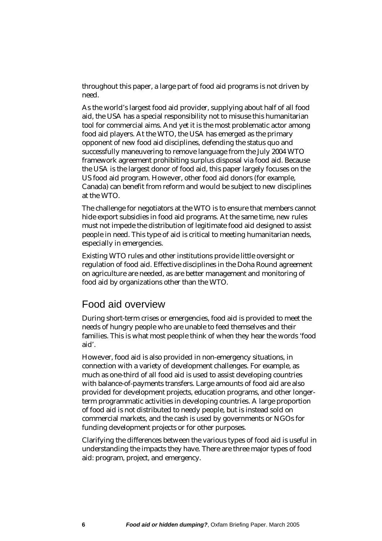<span id="page-6-0"></span>throughout this paper, a large part of food aid programs is not driven by need.

As the world's largest food aid provider, supplying about half of all food aid, the USA has a special responsibility not to misuse this humanitarian tool for commercial aims. And yet it is the most problematic actor among food aid players. At the WTO, the USA has emerged as the primary opponent of new food aid disciplines, defending the status quo and successfully maneuvering to remove language from the July 2004 WTO framework agreement prohibiting surplus disposal via food aid. Because the USA is the largest donor of food aid, this paper largely focuses on the US food aid program. However, other food aid donors (for example, Canada) can benefit from reform and would be subject to new disciplines at the WTO.

The challenge for negotiators at the WTO is to ensure that members cannot hide export subsidies in food aid programs. At the same time, new rules must not impede the distribution of legitimate food aid designed to assist people in need. This type of aid is critical to meeting humanitarian needs, especially in emergencies.

Existing WTO rules and other institutions provide little oversight or regulation of food aid. Effective disciplines in the Doha Round agreement on agriculture are needed, as are better management and monitoring of food aid by organizations other than the WTO.

#### Food aid overview

During short-term crises or emergencies, food aid is provided to meet the needs of hungry people who are unable to feed themselves and their families. This is what most people think of when they hear the words 'food aid'.

However, food aid is also provided in non-emergency situations, in connection with a variety of development challenges. For example, as much as one-third of all food aid is used to assist developing countries with balance-of-payments transfers. Large amounts of food aid are also provided for development projects, education programs, and other longerterm programmatic activities in developing countries. A large proportion of food aid is not distributed to needy people, but is instead sold on commercial markets, and the cash is used by governments or NGOs for funding development projects or for other purposes.

Clarifying the differences between the various types of food aid is useful in understanding the impacts they have. There are three major types of food aid: program, project, and emergency.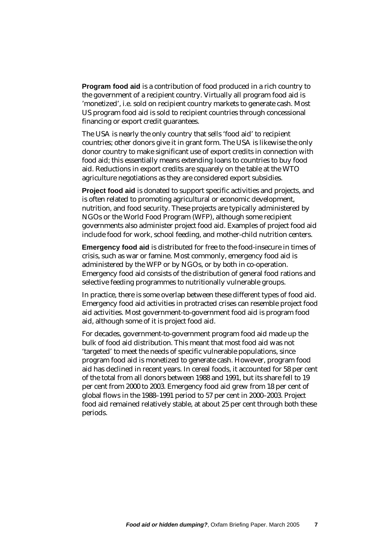**Program food aid** is a contribution of food produced in a rich country to the government of a recipient country. Virtually all program food aid is 'monetized', i.e. sold on recipient country markets to generate cash. Most US program food aid is sold to recipient countries through concessional financing or export credit guarantees.

The USA is nearly the only country that sells 'food aid' to recipient countries; other donors give it in grant form. The USA is likewise the only donor country to make significant use of export credits in connection with food aid; this essentially means extending loans to countries to buy food aid. Reductions in export credits are squarely on the table at the WTO agriculture negotiations as they are considered export subsidies.

**Project food aid** is donated to support specific activities and projects, and is often related to promoting agricultural or economic development, nutrition, and food security. These projects are typically administered by NGOs or the World Food Program (WFP), although some recipient governments also administer project food aid. Examples of project food aid include food for work, school feeding, and mother-child nutrition centers.

**Emergency food aid** is distributed for free to the food-insecure in times of crisis, such as war or famine. Most commonly, emergency food aid is administered by the WFP or by NGOs, or by both in co-operation. Emergency food aid consists of the distribution of general food rations and selective feeding programmes to nutritionally vulnerable groups.

In practice, there is some overlap between these different types of food aid. Emergency food aid activities in protracted crises can resemble project food aid activities. Most government-to-government food aid is program food aid, although some of it is project food aid.

For decades, government-to-government program food aid made up the bulk of food aid distribution. This meant that most food aid was not 'targeted' to meet the needs of specific vulnerable populations, since program food aid is monetized to generate cash. However, program food aid has declined in recent years. In cereal foods, it accounted for 58 per cent of the total from all donors between 1988 and 1991, but its share fell to 19 per cent from 2000 to 2003. Emergency food aid grew from 18 per cent of global flows in the 1988–1991 period to 57 per cent in 2000–2003. Project food aid remained relatively stable, at about 25 per cent through both these periods.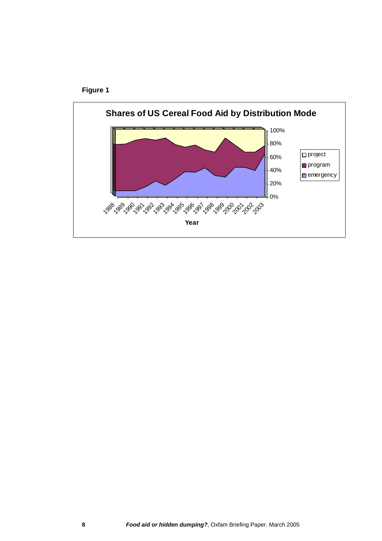

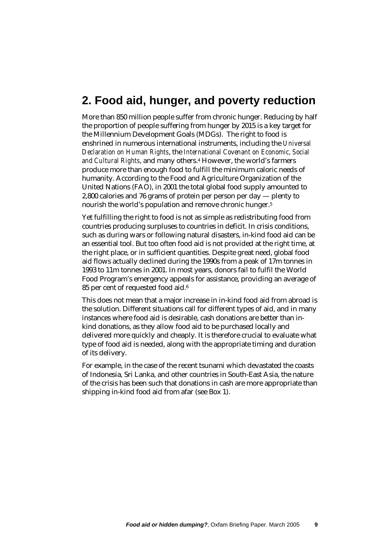# <span id="page-9-0"></span>**2. Food aid, hunger, and poverty reduction**

More than 850 million people suffer from chronic hunger. Reducing by half the proportion of people suffering from hunger by 2015 is a key target for the Millennium Development Goals (MDGs). The right to food is enshrined in numerous international instruments, including the *Universal Declaration on Human Rights*, the *International Covenant on Economic, Social and Cultural Rights*, and many others.[4](#page-34-3) However, the world's farmers produce more than enough food to fulfill the minimum caloric needs of humanity. According to the Food and Agriculture Organization of the United Nations (FAO), in 2001 the total global food supply amounted to 2,800 calories and 76 grams of protein per person per day — plenty to nourish the world's population and remove chronic hunger[.5](#page-34-4) 

Yet fulfilling the right to food is not as simple as redistributing food from countries producing surpluses to countries in deficit. In crisis conditions, such as during wars or following natural disasters, in-kind food aid can be an essential tool. But too often food aid is not provided at the right time, at the right place, or in sufficient quantities. Despite great need, global food aid flows actually declined during the 1990s from a peak of 17m tonnes in 1993 to 11m tonnes in 2001. In most years, donors fail to fulfil the World Food Program's emergency appeals for assistance, providing an average of 85 per cent of requested food aid.[6](#page-34-5) 

This does not mean that a major increase in in-kind food aid from abroad is the solution. Different situations call for different types of aid, and in many instances where food aid is desirable, cash donations are better than inkind donations, as they allow food aid to be purchased locally and delivered more quickly and cheaply. It is therefore crucial to evaluate what type of food aid is needed, along with the appropriate timing and duration of its delivery.

For example, in the case of the recent tsunami which devastated the coasts of Indonesia, Sri Lanka, and other countries in South-East Asia, the nature of the crisis has been such that donations in cash are more appropriate than shipping in-kind food aid from afar (see Box 1).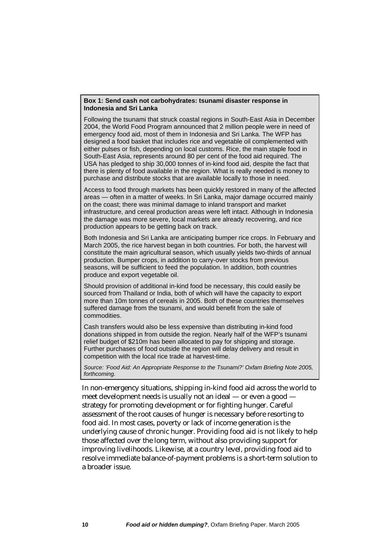#### **Box 1: Send cash not carbohydrates: tsunami disaster response in Indonesia and Sri Lanka**

Following the tsunami that struck coastal regions in South-East Asia in December 2004, the World Food Program announced that 2 million people were in need of emergency food aid, most of them in Indonesia and Sri Lanka. The WFP has designed a food basket that includes rice and vegetable oil complemented with either pulses or fish, depending on local customs. Rice, the main staple food in South-East Asia, represents around 80 per cent of the food aid required. The USA has pledged to ship 30,000 tonnes of in-kind food aid, despite the fact that there is plenty of food available in the region. What is really needed is money to purchase and distribute stocks that are available locally to those in need.

Access to food through markets has been quickly restored in many of the affected areas — often in a matter of weeks. In Sri Lanka, major damage occurred mainly on the coast; there was minimal damage to inland transport and market infrastructure, and cereal production areas were left intact. Although in Indonesia the damage was more severe, local markets are already recovering, and rice production appears to be getting back on track.

Both Indonesia and Sri Lanka are anticipating bumper rice crops. In February and March 2005, the rice harvest began in both countries. For both, the harvest will constitute the main agricultural season, which usually yields two-thirds of annual production. Bumper crops, in addition to carry-over stocks from previous seasons, will be sufficient to feed the population. In addition, both countries produce and export vegetable oil.

Should provision of additional in-kind food be necessary, this could easily be sourced from Thailand or India, both of which will have the capacity to export more than 10m tonnes of cereals in 2005. Both of these countries themselves suffered damage from the tsunami, and would benefit from the sale of commodities.

Cash transfers would also be less expensive than distributing in-kind food donations shipped in from outside the region. Nearly half of the WFP's tsunami relief budget of \$210m has been allocated to pay for shipping and storage. Further purchases of food outside the region will delay delivery and result in competition with the local rice trade at harvest-time.

*Source: 'Food Aid: An Appropriate Response to the Tsunami?' Oxfam Briefing Note 2005, forthcoming.*

In non-emergency situations, shipping in-kind food aid across the world to meet development needs is usually not an ideal — or even a good strategy for promoting development or for fighting hunger. Careful assessment of the root causes of hunger is necessary before resorting to food aid. In most cases, poverty or lack of income generation is the underlying cause of chronic hunger. Providing food aid is not likely to help those affected over the long term, without also providing support for improving livelihoods. Likewise, at a country level, providing food aid to resolve immediate balance-of-payment problems is a short-term solution to a broader issue.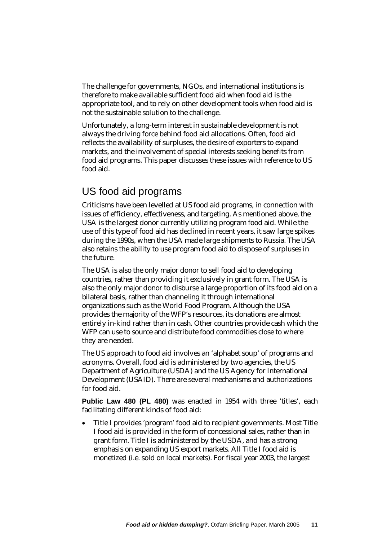<span id="page-11-0"></span>The challenge for governments, NGOs, and international institutions is therefore to make available sufficient food aid when food aid is the appropriate tool, and to rely on other development tools when food aid is not the sustainable solution to the challenge.

Unfortunately, a long-term interest in sustainable development is not always the driving force behind food aid allocations. Often, food aid reflects the availability of surpluses, the desire of exporters to expand markets, and the involvement of special interests seeking benefits from food aid programs. This paper discusses these issues with reference to US food aid.

## US food aid programs

Criticisms have been levelled at US food aid programs, in connection with issues of efficiency, effectiveness, and targeting. As mentioned above, the USA is the largest donor currently utilizing program food aid. While the use of this type of food aid has declined in recent years, it saw large spikes during the 1990s, when the USA made large shipments to Russia. The USA also retains the ability to use program food aid to dispose of surpluses in the future.

The USA is also the only major donor to sell food aid to developing countries, rather than providing it exclusively in grant form. The USA is also the only major donor to disburse a large proportion of its food aid on a bilateral basis, rather than channeling it through international organizations such as the World Food Program. Although the USA provides the majority of the WFP's resources, its donations are almost entirely in-kind rather than in cash. Other countries provide cash which the WFP can use to source and distribute food commodities close to where they are needed.

The US approach to food aid involves an 'alphabet soup' of programs and acronyms. Overall, food aid is administered by two agencies, the US Department of Agriculture (USDA) and the US Agency for International Development (USAID). There are several mechanisms and authorizations for food aid.

Public Law 480 (PL 480) was enacted in 1954 with three 'titles', each facilitating different kinds of food aid:

• Title I provides 'program' food aid to recipient governments. Most Title I food aid is provided in the form of concessional sales, rather than in grant form. Title I is administered by the USDA, and has a strong emphasis on expanding US export markets. All Title I food aid is monetized (i.e. sold on local markets). For fiscal year 2003, the largest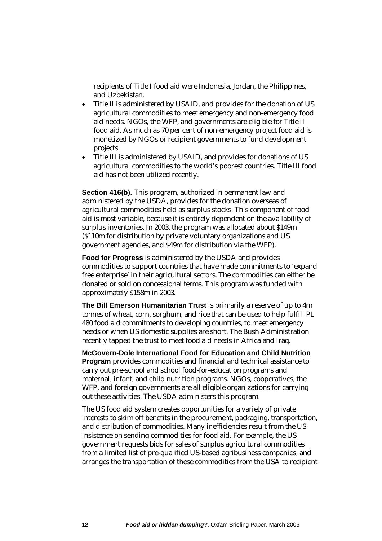recipients of Title I food aid were Indonesia, Jordan, the Philippines, and Uzbekistan.

- Title II is administered by USAID, and provides for the donation of US agricultural commodities to meet emergency and non-emergency food aid needs. NGOs, the WFP, and governments are eligible for Title II food aid. As much as 70 per cent of non-emergency project food aid is monetized by NGOs or recipient governments to fund development projects.
- Title III is administered by USAID, and provides for donations of US agricultural commodities to the world's poorest countries. Title III food aid has not been utilized recently.

**Section 416(b).** This program, authorized in permanent law and administered by the USDA, provides for the donation overseas of agricultural commodities held as surplus stocks. This component of food aid is most variable, because it is entirely dependent on the availability of surplus inventories. In 2003, the program was allocated about \$149m (\$110m for distribution by private voluntary organizations and US government agencies, and \$49m for distribution via the WFP).

**Food for Progress** is administered by the USDA and provides commodities to support countries that have made commitments to 'expand free enterprise' in their agricultural sectors. The commodities can either be donated or sold on concessional terms. This program was funded with approximately \$158m in 2003.

**The Bill Emerson Humanitarian Trust** is primarily a reserve of up to 4m tonnes of wheat, corn, sorghum, and rice that can be used to help fulfill PL 480 food aid commitments to developing countries, to meet emergency needs or when US domestic supplies are short. The Bush Administration recently tapped the trust to meet food aid needs in Africa and Iraq.

**McGovern-Dole International Food for Education and Child Nutrition Program** provides commodities and financial and technical assistance to carry out pre-school and school food-for-education programs and maternal, infant, and child nutrition programs. NGOs, cooperatives, the WFP, and foreign governments are all eligible organizations for carrying out these activities. The USDA administers this program.

The US food aid system creates opportunities for a variety of private interests to skim off benefits in the procurement, packaging, transportation, and distribution of commodities. Many inefficiencies result from the US insistence on sending commodities for food aid. For example, the US government requests bids for sales of surplus agricultural commodities from a limited list of pre-qualified US-based agribusiness companies, and arranges the transportation of these commodities from the USA to recipient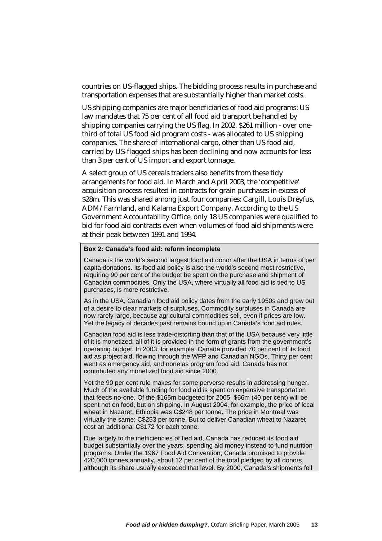countries on US-flagged ships. The bidding process results in purchase and transportation expenses that are substantially higher than market costs.

US shipping companies are major beneficiaries of food aid programs: US law mandates that 75 per cent of all food aid transport be handled by shipping companies carrying the US flag. In 2002, \$261 million - over onethird of total US food aid program costs - was allocated to US shipping companies. The share of international cargo, other than US food aid, carried by US-flagged ships has been declining and now accounts for less than 3 per cent of US import and export tonnage.

A select group of US cereals traders also benefits from these tidy arrangements for food aid. In March and April 2003, the 'competitive' acquisition process resulted in contracts for grain purchases in excess of \$28m. This was shared among just four companies: Cargill, Louis Dreyfus, ADM/Farmland, and Kalama Export Company. According to the US Government Accountability Office, only 18 US companies were qualified to bid for food aid contracts even when volumes of food aid shipments were at their peak between 1991 and 1994.

#### **Box 2: Canada's food aid: reform incomplete**

Canada is the world's second largest food aid donor after the USA in terms of per capita donations. Its food aid policy is also the world's second most restrictive, requiring 90 per cent of the budget be spent on the purchase and shipment of Canadian commodities. Only the USA, where virtually all food aid is tied to US purchases, is more restrictive.

As in the USA, Canadian food aid policy dates from the early 1950s and grew out of a desire to clear markets of surpluses. Commodity surpluses in Canada are now rarely large, because agricultural commodities sell, even if prices are low. Yet the legacy of decades past remains bound up in Canada's food aid rules.

Canadian food aid is less trade-distorting than that of the USA because very little of it is monetized; all of it is provided in the form of grants from the government's operating budget. In 2003, for example, Canada provided 70 per cent of its food aid as project aid, flowing through the WFP and Canadian NGOs. Thirty per cent went as emergency aid, and none as program food aid. Canada has not contributed any monetized food aid since 2000.

Yet the 90 per cent rule makes for some perverse results in addressing hunger. Much of the available funding for food aid is spent on expensive transportation that feeds no-one. Of the \$165m budgeted for 2005, \$66m (40 per cent) will be spent not on food, but on shipping. In August 2004, for example, the price of local wheat in Nazaret, Ethiopia was C\$248 per tonne. The price in Montreal was virtually the same: C\$253 per tonne. But to deliver Canadian wheat to Nazaret cost an additional C\$172 for each tonne.

Due largely to the inefficiencies of tied aid, Canada has reduced its food aid budget substantially over the years, spending aid money instead to fund nutrition programs. Under the 1967 Food Aid Convention, Canada promised to provide 420,000 tonnes annually, about 12 per cent of the total pledged by all donors, although its share usually exceeded that level. By 2000, Canada's shipments fell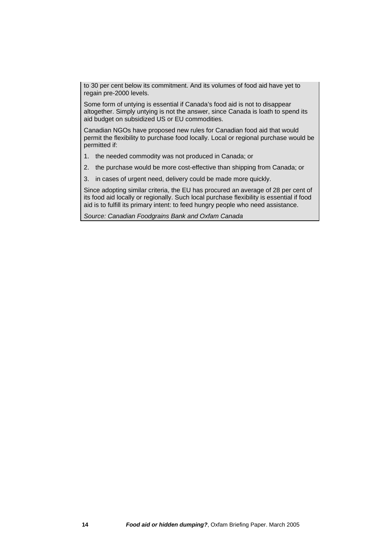to 30 per cent below its commitment. And its volumes of food aid have yet to regain pre-2000 levels.

Some form of untying is essential if Canada's food aid is not to disappear altogether. Simply untying is not the answer, since Canada is loath to spend its aid budget on subsidized US or EU commodities.

Canadian NGOs have proposed new rules for Canadian food aid that would permit the flexibility to purchase food locally. Local or regional purchase would be permitted if:

- 1. the needed commodity was not produced in Canada; or
- 2. the purchase would be more cost-effective than shipping from Canada; or
- 3. in cases of urgent need, delivery could be made more quickly.

Since adopting similar criteria, the EU has procured an average of 28 per cent of its food aid locally or regionally. Such local purchase flexibility is essential if food aid is to fulfill its primary intent: to feed hungry people who need assistance.

*Source: Canadian Foodgrains Bank and Oxfam Canada*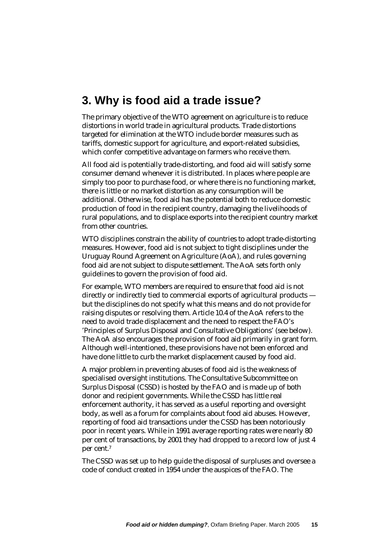# <span id="page-15-0"></span>**3. Why is food aid a trade issue?**

The primary objective of the WTO agreement on agriculture is to reduce distortions in world trade in agricultural products. Trade distortions targeted for elimination at the WTO include border measures such as tariffs, domestic support for agriculture, and export-related subsidies, which confer competitive advantage on farmers who receive them.

All food aid is potentially trade-distorting, and food aid will satisfy some consumer demand whenever it is distributed. In places where people are simply too poor to purchase food, or where there is no functioning market, there is little or no market distortion as any consumption will be additional. Otherwise, food aid has the potential both to reduce domestic production of food in the recipient country, damaging the livelihoods of rural populations, and to displace exports into the recipient country market from other countries.

WTO disciplines constrain the ability of countries to adopt trade-distorting measures. However, food aid is not subject to tight disciplines under the Uruguay Round Agreement on Agriculture (AoA), and rules governing food aid are not subject to dispute settlement. The AoA sets forth only guidelines to govern the provision of food aid.

For example, WTO members are required to ensure that food aid is not directly or indirectly tied to commercial exports of agricultural products but the disciplines do not specify what this means and do not provide for raising disputes or resolving them. Article 10.4 of the AoA refers to the need to avoid trade displacement and the need to respect the FAO's 'Principles of Surplus Disposal and Consultative Obligations' (see below). The AoA also encourages the provision of food aid primarily in grant form. Although well-intentioned, these provisions have not been enforced and have done little to curb the market displacement caused by food aid.

A major problem in preventing abuses of food aid is the weakness of specialised oversight institutions. The Consultative Subcommittee on Surplus Disposal (CSSD) is hosted by the FAO and is made up of both donor and recipient governments. While the CSSD has little real enforcement authority, it has served as a useful reporting and oversight body, as well as a forum for complaints about food aid abuses. However, reporting of food aid transactions under the CSSD has been notoriously poor in recent years. While in 1991 average reporting rates were nearly 80 per cent of transactions, by 2001 they had dropped to a record low of just 4 per cent.[7](#page-34-6) 

The CSSD was set up to help guide the disposal of surpluses and oversee a code of conduct created in 1954 under the auspices of the FAO. The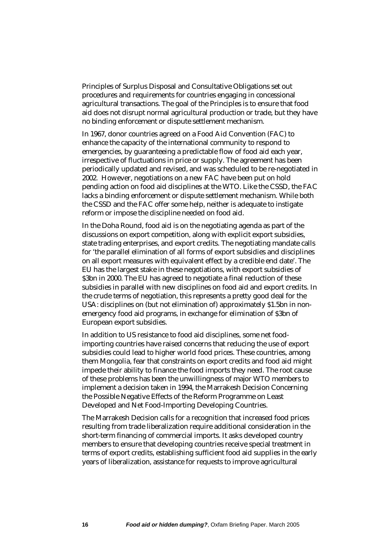Principles of Surplus Disposal and Consultative Obligations set out procedures and requirements for countries engaging in concessional agricultural transactions. The goal of the Principles is to ensure that food aid does not disrupt normal agricultural production or trade, but they have no binding enforcement or dispute settlement mechanism.

In 1967, donor countries agreed on a Food Aid Convention (FAC) to enhance the capacity of the international community to respond to emergencies, by guaranteeing a predictable flow of food aid each year, irrespective of fluctuations in price or supply. The agreement has been periodically updated and revised, and was scheduled to be re-negotiated in 2002. However, negotiations on a new FAC have been put on hold pending action on food aid disciplines at the WTO. Like the CSSD, the FAC lacks a binding enforcement or dispute settlement mechanism. While both the CSSD and the FAC offer some help, neither is adequate to instigate reform or impose the discipline needed on food aid.

In the Doha Round, food aid is on the negotiating agenda as part of the discussions on export competition, along with explicit export subsidies, state trading enterprises, and export credits. The negotiating mandate calls for 'the parallel elimination of all forms of export subsidies and disciplines on all export measures with equivalent effect by a credible end date'. The EU has the largest stake in these negotiations, with export subsidies of \$3bn in 2000. The EU has agreed to negotiate a final reduction of these subsidies in parallel with new disciplines on food aid and export credits. In the crude terms of negotiation, this represents a pretty good deal for the USA: disciplines on (but not elimination of) approximately \$1.5bn in nonemergency food aid programs, in exchange for elimination of \$3bn of European export subsidies.

In addition to US resistance to food aid disciplines, some net foodimporting countries have raised concerns that reducing the use of export subsidies could lead to higher world food prices. These countries, among them Mongolia, fear that constraints on export credits and food aid might impede their ability to finance the food imports they need. The root cause of these problems has been the unwillingness of major WTO members to implement a decision taken in 1994, the Marrakesh Decision Concerning the Possible Negative Effects of the Reform Programme on Least Developed and Net Food-Importing Developing Countries.

The Marrakesh Decision calls for a recognition that increased food prices resulting from trade liberalization require additional consideration in the short-term financing of commercial imports. It asks developed country members to ensure that developing countries receive special treatment in terms of export credits, establishing sufficient food aid supplies in the early years of liberalization, assistance for requests to improve agricultural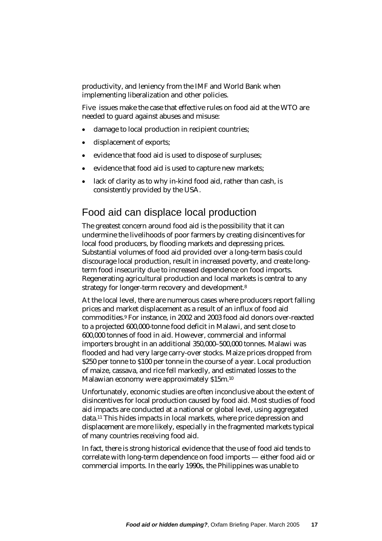<span id="page-17-0"></span>productivity, and leniency from the IMF and World Bank when implementing liberalization and other policies.

Five issues make the case that effective rules on food aid at the WTO are needed to guard against abuses and misuse:

- damage to local production in recipient countries;
- displacement of exports;
- evidence that food aid is used to dispose of surpluses;
- evidence that food aid is used to capture new markets;
- lack of clarity as to why in-kind food aid, rather than cash, is consistently provided by the USA.

## Food aid can displace local production

The greatest concern around food aid is the possibility that it can undermine the livelihoods of poor farmers by creating disincentives for local food producers, by flooding markets and depressing prices. Substantial volumes of food aid provided over a long-term basis could discourage local production, result in increased poverty, and create longterm food insecurity due to increased dependence on food imports. Regenerating agricultural production and local markets is central to any strategy for longer-term recovery and development[.8](#page-34-7) 

At the local level, there are numerous cases where producers report falling prices and market displacement as a result of an influx of food aid commodities.[9](#page-34-8) For instance, in 2002 and 2003 food aid donors over-reacted to a projected 600,000-tonne food deficit in Malawi, and sent close to 600,000 tonnes of food in aid. However, commercial and informal importers brought in an additional 350,000–500,000 tonnes. Malawi was flooded and had very large carry-over stocks. Maize prices dropped from \$250 per tonne to \$100 per tonne in the course of a year. Local production of maize, cassava, and rice fell markedly, and estimated losses to the Malawian economy were approximately \$15m[.10](#page-34-9)

Unfortunately, economic studies are often inconclusive about the extent of disincentives for local production caused by food aid. Most studies of food aid impacts are conducted at a national or global level, using aggregated data.[11](#page-34-10) This hides impacts in local markets, where price depression and displacement are more likely, especially in the fragmented markets typical of many countries receiving food aid.

In fact, there is strong historical evidence that the use of food aid tends to correlate with long-term dependence on food imports — either food aid or commercial imports. In the early 1990s, the Philippines was unable to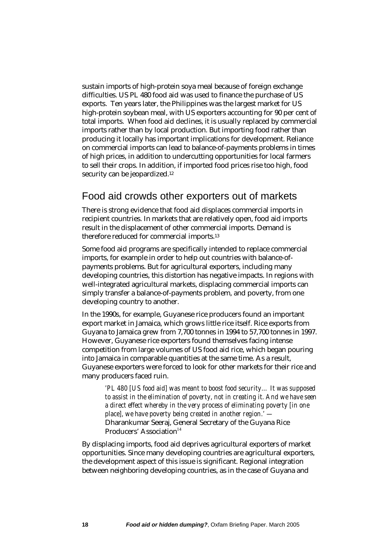<span id="page-18-0"></span>sustain imports of high-protein soya meal because of foreign exchange difficulties. US PL 480 food aid was used to finance the purchase of US exports. Ten years later, the Philippines was the largest market for US high-protein soybean meal, with US exporters accounting for 90 per cent of total imports. When food aid declines, it is usually replaced by commercial imports rather than by local production. But importing food rather than producing it locally has important implications for development. Reliance on commercial imports can lead to balance-of-payments problems in times of high prices, in addition to undercutting opportunities for local farmers to sell their crops. In addition, if imported food prices rise too high, food security can be jeopardized.<sup>12</sup>

## Food aid crowds other exporters out of markets

There is strong evidence that food aid displaces commercial imports in recipient countries. In markets that are relatively open, food aid imports result in the displacement of other commercial imports. Demand is therefore reduced for commercial imports.[13](#page-34-12)

Some food aid programs are specifically intended to replace commercial imports, for example in order to help out countries with balance-ofpayments problems. But for agricultural exporters, including many developing countries, this distortion has negative impacts. In regions with well-integrated agricultural markets, displacing commercial imports can simply transfer a balance-of-payments problem, and poverty, from one developing country to another.

In the 1990s, for example, Guyanese rice producers found an important export market in Jamaica, which grows little rice itself. Rice exports from Guyana to Jamaica grew from 7,700 tonnes in 1994 to 57,700 tonnes in 1997. However, Guyanese rice exporters found themselves facing intense competition from large volumes of US food aid rice, which began pouring into Jamaica in comparable quantities at the same time. As a result, Guyanese exporters were forced to look for other markets for their rice and many producers faced ruin.

*'PL 480 [US food aid] was meant to boost food security… It was supposed to assist in the elimination of poverty, not in creating it. And we have seen a direct effect whereby in the very process of eliminating poverty [in one place], we have poverty being created in another region.' —*  Dharankumar Seeraj, General Secretary of the Guyana Rice Producers' Association $14$ 

By displacing imports, food aid deprives agricultural exporters of market opportunities. Since many developing countries are agricultural exporters, the development aspect of this issue is significant. Regional integration between neighboring developing countries, as in the case of Guyana and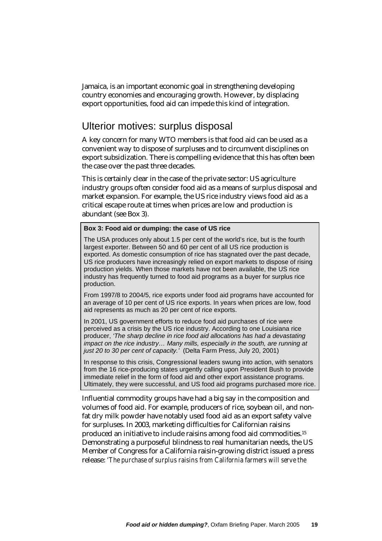<span id="page-19-0"></span>Jamaica, is an important economic goal in strengthening developing country economies and encouraging growth. However, by displacing export opportunities, food aid can impede this kind of integration.

#### Ulterior motives: surplus disposal

A key concern for many WTO members is that food aid can be used as a convenient way to dispose of surpluses and to circumvent disciplines on export subsidization. There is compelling evidence that this has often been the case over the past three decades.

This is certainly clear in the case of the private sector: US agriculture industry groups often consider food aid as a means of surplus disposal and market expansion. For example, the US rice industry views food aid as a critical escape route at times when prices are low and production is abundant (see Box 3).

#### **Box 3: Food aid or dumping: the case of US rice**

The USA produces only about 1.5 per cent of the world's rice, but is the fourth largest exporter. Between 50 and 60 per cent of all US rice production is exported. As domestic consumption of rice has stagnated over the past decade, US rice producers have increasingly relied on export markets to dispose of rising production yields. When those markets have not been available, the US rice industry has frequently turned to food aid programs as a buyer for surplus rice production.

From 1997/8 to 2004/5, rice exports under food aid programs have accounted for an average of 10 per cent of US rice exports. In years when prices are low, food aid represents as much as 20 per cent of rice exports.

In 2001, US government efforts to reduce food aid purchases of rice were perceived as a crisis by the US rice industry. According to one Louisiana rice producer, *'The sharp decline in rice food aid allocations has had a devastating impact on the rice industry… Many mills, especially in the south, are running at just 20 to 30 per cent of capacity.'* (Delta Farm Press, July 20, 2001)

In response to this crisis, Congressional leaders swung into action, with senators from the 16 rice-producing states urgently calling upon President Bush to provide immediate relief in the form of food aid and other export assistance programs. Ultimately, they were successful, and US food aid programs purchased more rice.

Influential commodity groups have had a big say in the composition and volumes of food aid. For example, producers of rice, soybean oil, and nonfat dry milk powder have notably used food aid as an export safety valve for surpluses. In 2003, marketing difficulties for Californian raisins produced an initiative to include raisins among food aid commodities.[15](#page-34-14)  Demonstrating a purposeful blindness to real humanitarian needs, the US Member of Congress for a California raisin-growing district issued a press release: *'The purchase of surplus raisins from California farmers will serve the*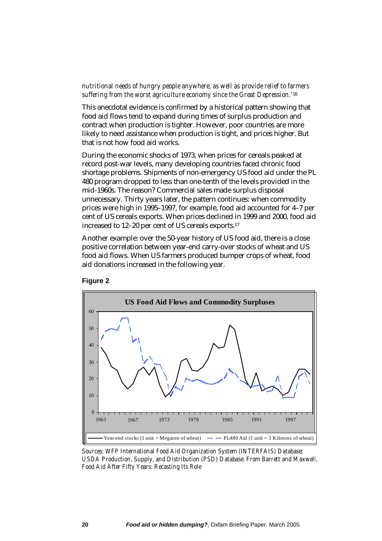#### *nutritional needs of hungry people anywhere, as well as provide relief to farmers suffering from the worst agriculture economy since the Great Depression.'*[16](#page-34-15)

This anecdotal evidence is confirmed by a historical pattern showing that food aid flows tend to expand during times of surplus production and contract when production is tighter. However, poor countries are more likely to need assistance when production is tight, and prices higher. But that is not how food aid works.

During the economic shocks of 1973, when prices for cereals peaked at record post-war levels, many developing countries faced chronic food shortage problems. Shipments of non-emergency US food aid under the PL 480 program dropped to less than one-tenth of the levels provided in the mid-1960s. The reason? Commercial sales made surplus disposal unnecessary. Thirty years later, the pattern continues: when commodity prices were high in 1995–1997, for example, food aid accounted for 4–7 per cent of US cereals exports. When prices declined in 1999 and 2000, food aid increased to 12–20 per cent of US cereals exports[.17](#page-34-16) 

Another example: over the 50-year history of US food aid, there is a close positive correlation between year-end carry-over stocks of wheat and US food aid flows. When US farmers produced bumper crops of wheat, food aid donations increased in the following year.



**Figure 2** 

*Sources: WFP International Food Aid Organization System (INTERFAIS) Database; USDA Production, Supply, and Distribution (PSD) Database. From Barrett and Maxwell, Food Aid After Fifty Years: Recasting Its Role*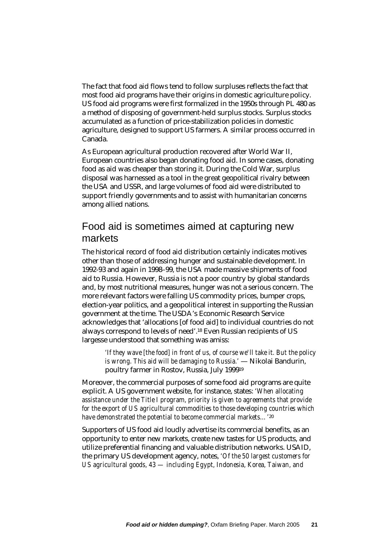<span id="page-21-0"></span>The fact that food aid flows tend to follow surpluses reflects the fact that most food aid programs have their origins in domestic agriculture policy. US food aid programs were first formalized in the 1950s through PL 480 as a method of disposing of government-held surplus stocks. Surplus stocks accumulated as a function of price-stabilization policies in domestic agriculture, designed to support US farmers. A similar process occurred in Canada.

As European agricultural production recovered after World War II, European countries also began donating food aid. In some cases, donating food as aid was cheaper than storing it. During the Cold War, surplus disposal was harnessed as a tool in the great geopolitical rivalry between the USA and USSR, and large volumes of food aid were distributed to support friendly governments and to assist with humanitarian concerns among allied nations.

## Food aid is sometimes aimed at capturing new markets

The historical record of food aid distribution certainly indicates motives other than those of addressing hunger and sustainable development. In 1992-93 and again in 1998–99, the USA made massive shipments of food aid to Russia. However, Russia is not a poor country by global standards and, by most nutritional measures, hunger was not a serious concern. The more relevant factors were falling US commodity prices, bumper crops, election-year politics, and a geopolitical interest in supporting the Russian government at the time. The USDA's Economic Research Service acknowledges that 'allocations [of food aid] to individual countries do not always correspond to levels of need'.[18](#page-34-17) Even Russian recipients of US largesse understood that something was amiss:

*'If they wave [the food] in front of us, of course we'll take it. But the policy is wrong. This aid will be damaging to Russia.'* — Nikolai Bandurin, poultry farmer in Rostov, Russia, July 199[919](#page-34-18)

Moreover, the commercial purposes of some food aid programs are quite explicit. A US government website, for instance, states: *'When allocating assistance under the Title I program, priority is given to agreements that provide for the export of US agricultural commodities to those developing countries which have demonstrated the potential to become commercial markets…'*[20](#page-34-19) 

Supporters of US food aid loudly advertise its commercial benefits, as an opportunity to enter new markets, create new tastes for US products, and utilize preferential financing and valuable distribution networks. USAID, the primary US development agency, notes, *'Of the 50 largest customers for US agricultural goods, 43 — including Egypt, Indonesia, Korea, Taiwan, and*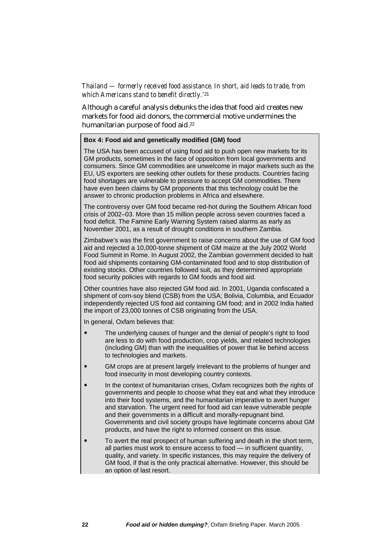*Thailand — formerly received food assistance. In short, aid leads to trade, from which Americans stand to benefit directly.'*[21](#page-34-20) 

Although a careful analysis debunks the idea that food aid creates new markets for food aid donors, the commercial motive undermines the humanitarian purpose of food aid.[22](#page-34-21)

#### **Box 4: Food aid and genetically modified (GM) food**

The USA has been accused of using food aid to push open new markets for its GM products, sometimes in the face of opposition from local governments and consumers. Since GM commodities are unwelcome in major markets such as the EU, US exporters are seeking other outlets for these products. Countries facing food shortages are vulnerable to pressure to accept GM commodities. There have even been claims by GM proponents that this technology could be the answer to chronic production problems in Africa and elsewhere.

The controversy over GM food became red-hot during the Southern African food crisis of 2002–03. More than 15 million people across seven countries faced a food deficit. The Famine Early Warning System raised alarms as early as November 2001, as a result of drought conditions in southern Zambia.

Zimbabwe's was the first government to raise concerns about the use of GM food aid and rejected a 10,000-tonne shipment of GM maize at the July 2002 World Food Summit in Rome. In August 2002, the Zambian government decided to halt food aid shipments containing GM-contaminated food and to stop distribution of existing stocks. Other countries followed suit, as they determined appropriate food security policies with regards to GM foods and food aid.

Other countries have also rejected GM food aid. In 2001, Uganda confiscated a shipment of corn-soy blend (CSB) from the USA; Bolivia, Columbia, and Ecuador independently rejected US food aid containing GM food; and in 2002 India halted the import of 23,000 tonnes of CSB originating from the USA.

In general, Oxfam believes that:

- The underlying causes of hunger and the denial of people's right to food are less to do with food production, crop yields, and related technologies (including GM) than with the inequalities of power that lie behind access to technologies and markets.
- GM crops are at present largely irrelevant to the problems of hunger and food insecurity in most developing country contexts.
- In the context of humanitarian crises, Oxfam recognizes both the rights of governments and people to choose what they eat and what they introduce into their food systems, and the humanitarian imperative to avert hunger and starvation. The urgent need for food aid can leave vulnerable people and their governments in a difficult and morally-repugnant bind. Governments and civil society groups have legitimate concerns about GM products, and have the right to informed consent on this issue.
- ! To avert the real prospect of human suffering and death in the short term, all parties must work to ensure access to food — in sufficient quantity, quality, and variety. In specific instances, this may require the delivery of GM food, if that is the only practical alternative. However, this should be an option of last resort.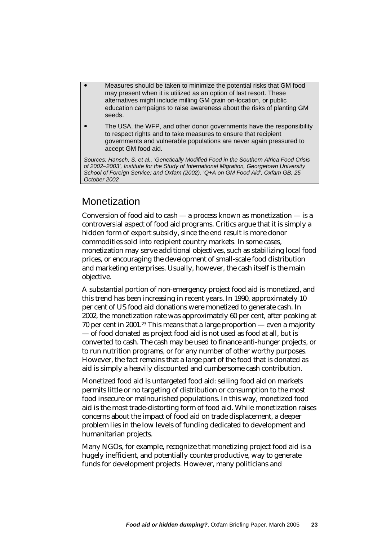- <span id="page-23-0"></span>! Measures should be taken to minimize the potential risks that GM food may present when it is utilized as an option of last resort. These alternatives might include milling GM grain on-location, or public education campaigns to raise awareness about the risks of planting GM seeds.
- ! The USA, the WFP, and other donor governments have the responsibility to respect rights and to take measures to ensure that recipient governments and vulnerable populations are never again pressured to accept GM food aid.

*Sources: Hansch, S. et al., 'Genetically Modified Food in the Southern Africa Food Crisis of 2002–2003', Institute for the Study of International Migration, Georgetown University School of Foreign Service; and Oxfam (2002), 'Q+A on GM Food Aid', Oxfam GB, 25 October 2002*

# **Monetization**

Conversion of food aid to cash — a process known as monetization — is a controversial aspect of food aid programs. Critics argue that it is simply a hidden form of export subsidy, since the end result is more donor commodities sold into recipient country markets. In some cases, monetization may serve additional objectives, such as stabilizing local food prices, or encouraging the development of small-scale food distribution and marketing enterprises. Usually, however, the cash itself is the main objective.

A substantial portion of non-emergency project food aid is monetized, and this trend has been increasing in recent years. In 1990, approximately 10 per cent of US food aid donations were monetized to generate cash. In 2002, the monetization rate was approximately 60 per cent, after peaking at 70 per cent in 2001.[23](#page-34-22) This means that a large proportion — even a majority — of food donated as project food aid is not used as food at all, but is converted to cash. The cash may be used to finance anti-hunger projects, or to run nutrition programs, or for any number of other worthy purposes. However, the fact remains that a large part of the food that is donated as aid is simply a heavily discounted and cumbersome cash contribution.

Monetized food aid is untargeted food aid: selling food aid on markets permits little or no targeting of distribution or consumption to the most food insecure or malnourished populations. In this way, monetized food aid is the most trade-distorting form of food aid. While monetization raises concerns about the impact of food aid on trade displacement, a deeper problem lies in the low levels of funding dedicated to development and humanitarian projects.

Many NGOs, for example, recognize that monetizing project food aid is a hugely inefficient, and potentially counterproductive, way to generate funds for development projects. However, many politicians and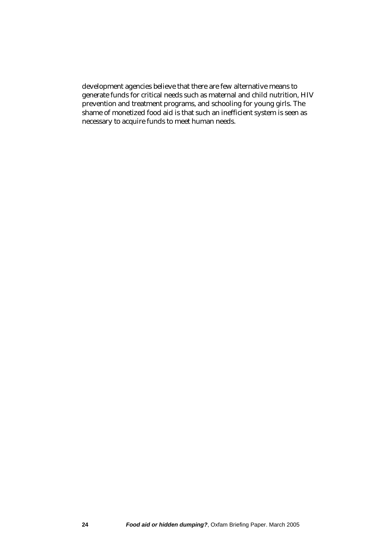development agencies believe that there are few alternative means to generate funds for critical needs such as maternal and child nutrition, HIV prevention and treatment programs, and schooling for young girls. The shame of monetized food aid is that such an inefficient system is seen as necessary to acquire funds to meet human needs.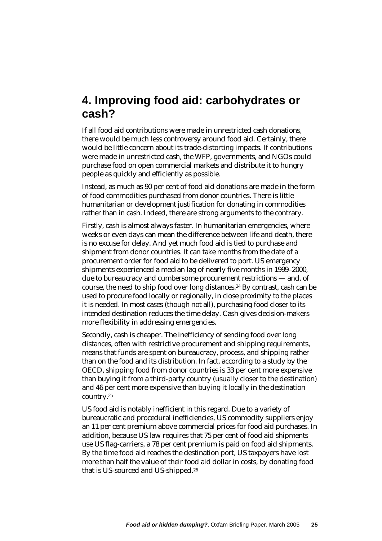# <span id="page-25-0"></span>**4. Improving food aid: carbohydrates or cash?**

If all food aid contributions were made in unrestricted cash donations, there would be much less controversy around food aid. Certainly, there would be little concern about its trade-distorting impacts. If contributions were made in unrestricted cash, the WFP, governments, and NGOs could purchase food on open commercial markets and distribute it to hungry people as quickly and efficiently as possible.

Instead, as much as 90 per cent of food aid donations are made in the form of food commodities purchased from donor countries. There is little humanitarian or development justification for donating in commodities rather than in cash. Indeed, there are strong arguments to the contrary.

Firstly, cash is almost always faster. In humanitarian emergencies, where weeks or even days can mean the difference between life and death, there is no excuse for delay. And yet much food aid is tied to purchase and shipment from donor countries. It can take months from the date of a procurement order for food aid to be delivered to port. US emergency shipments experienced a median lag of nearly five months in 1999–2000, due to bureaucracy and cumbersome procurement restrictions — and, of course, the need to ship food over long distances.[24 B](#page-34-23)y contrast, cash can be used to procure food locally or regionally, in close proximity to the places it is needed. In most cases (though not all), purchasing food closer to its intended destination reduces the time delay. Cash gives decision-makers more flexibility in addressing emergencies.

Secondly, cash is cheaper. The inefficiency of sending food over long distances, often with restrictive procurement and shipping requirements, means that funds are spent on bureaucracy, process, and shipping rather than on the food and its distribution. In fact, according to a study by the OECD, shipping food from donor countries is 33 per cent more expensive than buying it from a third-party country (usually closer to the destination) and 46 per cent more expensive than buying it locally in the destination country[.25](#page-34-24) 

US food aid is notably inefficient in this regard. Due to a variety of bureaucratic and procedural inefficiencies, US commodity suppliers enjoy an 11 per cent premium above commercial prices for food aid purchases. In addition, because US law requires that 75 per cent of food aid shipments use US flag-carriers, a 78 per cent premium is paid on food aid shipments. By the time food aid reaches the destination port, US taxpayers have lost more than half the value of their food aid dollar in costs, by donating food that is US-sourced and US-shipped.[26](#page-34-25)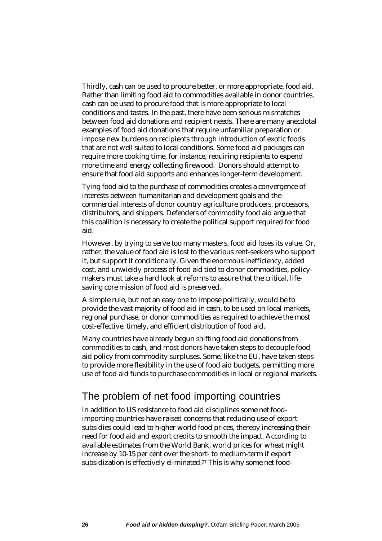<span id="page-26-0"></span>Thirdly, cash can be used to procure better, or more appropriate, food aid. Rather than limiting food aid to commodities available in donor countries, cash can be used to procure food that is more appropriate to local conditions and tastes. In the past, there have been serious mismatches between food aid donations and recipient needs. There are many anecdotal examples of food aid donations that require unfamiliar preparation or impose new burdens on recipients through introduction of exotic foods that are not well suited to local conditions. Some food aid packages can require more cooking time, for instance, requiring recipients to expend more time and energy collecting firewood. Donors should attempt to ensure that food aid supports and enhances longer-term development.

Tying food aid to the purchase of commodities creates a convergence of interests between humanitarian and development goals and the commercial interests of donor country agriculture producers, processors, distributors, and shippers. Defenders of commodity food aid argue that this coalition is necessary to create the political support required for food aid.

However, by trying to serve too many masters, food aid loses its value. Or, rather, the value of food aid is lost to the various rent-seekers who support it, but support it conditionally. Given the enormous inefficiency, added cost, and unwieldy process of food aid tied to donor commodities, policymakers must take a hard look at reforms to assure that the critical, lifesaving core mission of food aid is preserved.

A simple rule, but not an easy one to impose politically, would be to provide the vast majority of food aid in cash, to be used on local markets, regional purchase, or donor commodities as required to achieve the most cost-effective, timely, and efficient distribution of food aid.

Many countries have already begun shifting food aid donations from commodities to cash, and most donors have taken steps to decouple food aid policy from commodity surpluses. Some, like the EU, have taken steps to provide more flexibility in the use of food aid budgets, permitting more use of food aid funds to purchase commodities in local or regional markets.

# The problem of net food importing countries

In addition to US resistance to food aid disciplines some net foodimporting countries have raised concerns that reducing use of export subsidies could lead to higher world food prices, thereby increasing their need for food aid and export credits to smooth the impact. According to available estimates from the World Bank, world prices for wheat might increase by 10-15 per cent over the short- to medium-term if export subsidization is effectively eliminated[.27](#page-34-26) This is why some net food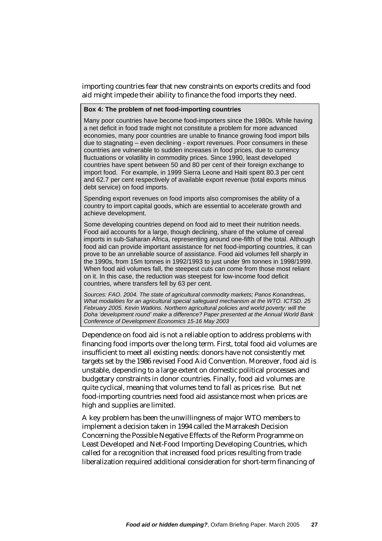importing countries fear that new constraints on exports credits and food aid might impede their ability to finance the food imports they need.

#### **Box 4: The problem of net food-importing countries**

Many poor countries have become food-importers since the 1980s. While having a net deficit in food trade might not constitute a problem for more advanced economies, many poor countries are unable to finance growing food import bills due to stagnating – even declining - export revenues. Poor consumers in these countries are vulnerable to sudden increases in food prices, due to currency fluctuations or volatility in commodity prices. Since 1990, least developed countries have spent between 50 and 80 per cent of their foreign exchange to import food. For example, in 1999 Sierra Leone and Haiti spent 80.3 per cent and 62.7 per cent respectively of available export revenue (total exports minus debt service) on food imports.

Spending export revenues on food imports also compromises the ability of a country to import capital goods, which are essential to accelerate growth and achieve development.

Some developing countries depend on food aid to meet their nutrition needs. Food aid accounts for a large, though declining, share of the volume of cereal imports in sub-Saharan Africa, representing around one-fifth of the total. Although food aid can provide important assistance for net food-importing countries, it can prove to be an unreliable source of assistance. Food aid volumes fell sharply in the 1990s, from 15m tonnes in 1992/1993 to just under 9m tonnes in 1998/1999. When food aid volumes fall, the steepest cuts can come from those most reliant on it. In this case, the reduction was steepest for low-income food deficit countries, where transfers fell by 63 per cent.

*Sources: FAO. 2004. The state of agricultural commodity markets; Panos Konandreas, What modalities for an agricultural special safeguard mechanism at the WTO. ICTSD. 25 February 2005. Kevin Watkins. Northern agricultural policies and world poverty: will the Doha 'development round' make a difference? Paper presented at the Annual World Bank Conference of Development Economics 15-16 May 2003* 

Dependence on food aid is not a reliable option to address problems with financing food imports over the long term. First, total food aid volumes are insufficient to meet all existing needs: donors have not consistently met targets set by the 1986 revised Food Aid Convention. Moreover, food aid is unstable, depending to a large extent on domestic political processes and budgetary constraints in donor countries. Finally, food aid volumes are quite cyclical, meaning that volumes tend to fall as prices rise. But net food-importing countries need food aid assistance most when prices are high and supplies are limited.

A key problem has been the unwillingness of major WTO members to implement a decision taken in 1994 called the Marrakesh Decision Concerning the Possible Negative Effects of the Reform Programme on Least Developed and Net-Food Importing Developing Countries, which called for a recognition that increased food prices resulting from trade liberalization required additional consideration for short-term financing of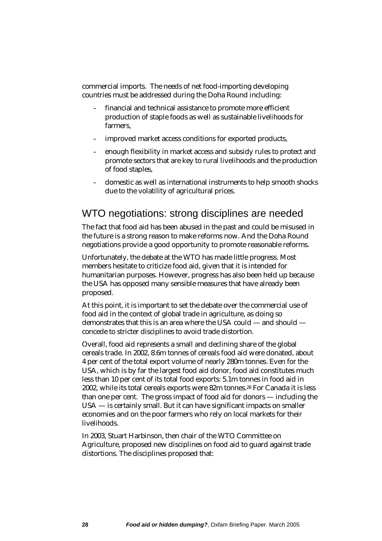<span id="page-28-0"></span>commercial imports. The needs of net food-importing developing countries must be addressed during the Doha Round including:

- financial and technical assistance to promote more efficient production of staple foods as well as sustainable livelihoods for farmers,
- improved market access conditions for exported products,
- enough flexibility in market access and subsidy rules to protect and promote sectors that are key to rural livelihoods and the production of food staples,
- domestic as well as international instruments to help smooth shocks due to the volatility of agricultural prices.

## WTO negotiations: strong disciplines are needed

The fact that food aid has been abused in the past and could be misused in the future is a strong reason to make reforms now. And the Doha Round negotiations provide a good opportunity to promote reasonable reforms.

Unfortunately, the debate at the WTO has made little progress. Most members hesitate to criticize food aid, given that it is intended for humanitarian purposes. However, progress has also been held up because the USA has opposed many sensible measures that have already been proposed.

At this point, it is important to set the debate over the commercial use of food aid in the context of global trade in agriculture, as doing so demonstrates that this is an area where the USA could — and should concede to stricter disciplines to avoid trade distortion.

Overall, food aid represents a small and declining share of the global cereals trade. In 2002, 8.6m tonnes of cereals food aid were donated, about 4 per cent of the total export volume of nearly 280m tonnes. Even for the USA, which is by far the largest food aid donor, food aid constitutes much less than 10 per cent of its total food exports: 5.1m tonnes in food aid in 2002, while its total cereals exports were 82m tonnes[.28 F](#page-34-27)or Canada it is less than one per cent. The gross impact of food aid for donors — including the USA — is certainly small. But it can have significant impacts on smaller economies and on the poor farmers who rely on local markets for their livelihoods.

In 2003, Stuart Harbinson, then chair of the WTO Committee on Agriculture, proposed new disciplines on food aid to guard against trade distortions. The disciplines proposed that: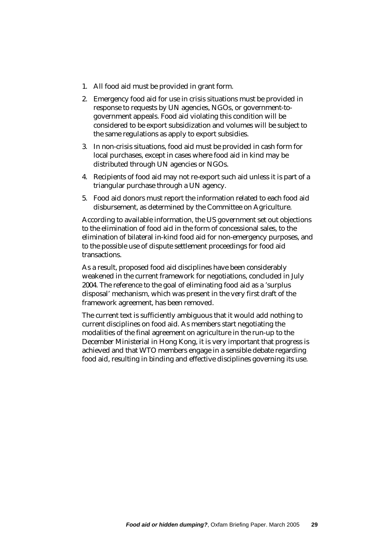- 1. All food aid must be provided in grant form.
- 2. Emergency food aid for use in crisis situations must be provided in response to requests by UN agencies, NGOs, or government-togovernment appeals. Food aid violating this condition will be considered to be export subsidization and volumes will be subject to the same regulations as apply to export subsidies.
- 3. In non-crisis situations, food aid must be provided in cash form for local purchases, except in cases where food aid in kind may be distributed through UN agencies or NGOs.
- 4. Recipients of food aid may not re-export such aid unless it is part of a triangular purchase through a UN agency.
- 5. Food aid donors must report the information related to each food aid disbursement, as determined by the Committee on Agriculture.

According to available information, the US government set out objections to the elimination of food aid in the form of concessional sales, to the elimination of bilateral in-kind food aid for non-emergency purposes, and to the possible use of dispute settlement proceedings for food aid transactions.

As a result, proposed food aid disciplines have been considerably weakened in the current framework for negotiations, concluded in July 2004. The reference to the goal of eliminating food aid as a 'surplus disposal' mechanism, which was present in the very first draft of the framework agreement, has been removed.

The current text is sufficiently ambiguous that it would add nothing to current disciplines on food aid. As members start negotiating the modalities of the final agreement on agriculture in the run-up to the December Ministerial in Hong Kong, it is very important that progress is achieved and that WTO members engage in a sensible debate regarding food aid, resulting in binding and effective disciplines governing its use.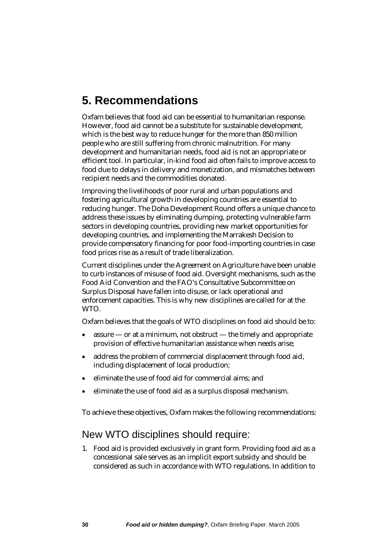# <span id="page-30-0"></span>**5. Recommendations**

Oxfam believes that food aid can be essential to humanitarian response. However, food aid cannot be a substitute for sustainable development, which is the best way to reduce hunger for the more than 850 million people who are still suffering from chronic malnutrition. For many development and humanitarian needs, food aid is not an appropriate or efficient tool. In particular, in-kind food aid often fails to improve access to food due to delays in delivery and monetization, and mismatches between recipient needs and the commodities donated.

Improving the livelihoods of poor rural and urban populations and fostering agricultural growth in developing countries are essential to reducing hunger. The Doha Development Round offers a unique chance to address these issues by eliminating dumping, protecting vulnerable farm sectors in developing countries, providing new market opportunities for developing countries, and implementing the Marrakesh Decision to provide compensatory financing for poor food-importing countries in case food prices rise as a result of trade liberalization.

Current disciplines under the Agreement on Agriculture have been unable to curb instances of misuse of food aid. Oversight mechanisms, such as the Food Aid Convention and the FAO's Consultative Subcommittee on Surplus Disposal have fallen into disuse, or lack operational and enforcement capacities. This is why new disciplines are called for at the WTO.

Oxfam believes that the goals of WTO disciplines on food aid should be to:

- assure or at a minimum, not obstruct the timely and appropriate provision of effective humanitarian assistance when needs arise; •
- address the problem of commercial displacement through food aid, including displacement of local production;
- eliminate the use of food aid for commercial aims; and
- eliminate the use of food aid as a surplus disposal mechanism.

To achieve these objectives, Oxfam makes the following recommendations:

## New WTO disciplines should require:

1. Food aid is provided exclusively in grant form. Providing food aid as a concessional sale serves as an implicit export subsidy and should be considered as such in accordance with WTO regulations. In addition to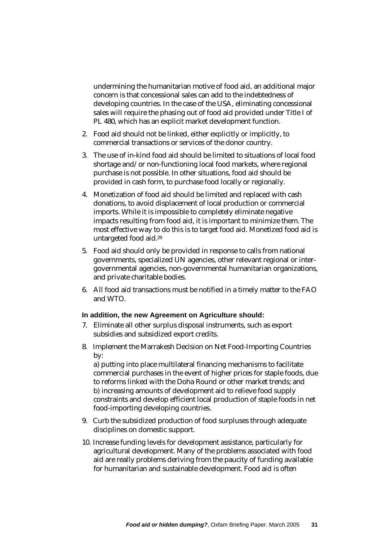undermining the humanitarian motive of food aid, an additional major concern is that concessional sales can add to the indebtedness of developing countries. In the case of the USA, eliminating concessional sales will require the phasing out of food aid provided under Title I of PL 480, which has an explicit market development function.

- 2. Food aid should not be linked, either explicitly or implicitly, to commercial transactions or services of the donor country.
- 3. The use of in-kind food aid should be limited to situations of local food shortage and/or non-functioning local food markets, where regional purchase is not possible. In other situations, food aid should be provided in cash form, to purchase food locally or regionally.
- 4. Monetization of food aid should be limited and replaced with cash donations, to avoid displacement of local production or commercial imports. While it is impossible to completely eliminate negative impacts resulting from food aid, it is important to minimize them. The most effective way to do this is to target food aid. Monetized food aid is untargeted food aid.[29](#page-34-28)
- 5. Food aid should only be provided in response to calls from national governments, specialized UN agencies, other relevant regional or intergovernmental agencies, non-governmental humanitarian organizations, and private charitable bodies.
- 6. All food aid transactions must be notified in a timely matter to the FAO and WTO.

#### **In addition, the new Agreement on Agriculture should:**

- 7. Eliminate all other surplus disposal instruments, such as export subsidies and subsidized export credits.
- 8. Implement the Marrakesh Decision on Net Food-Importing Countries by:

a) putting into place multilateral financing mechanisms to facilitate commercial purchases in the event of higher prices for staple foods, due to reforms linked with the Doha Round or other market trends; and b) increasing amounts of development aid to relieve food supply constraints and develop efficient local production of staple foods in net food-importing developing countries.

- 9. Curb the subsidized production of food surpluses through adequate disciplines on domestic support.
- 10. Increase funding levels for development assistance, particularly for agricultural development. Many of the problems associated with food aid are really problems deriving from the paucity of funding available for humanitarian and sustainable development. Food aid is often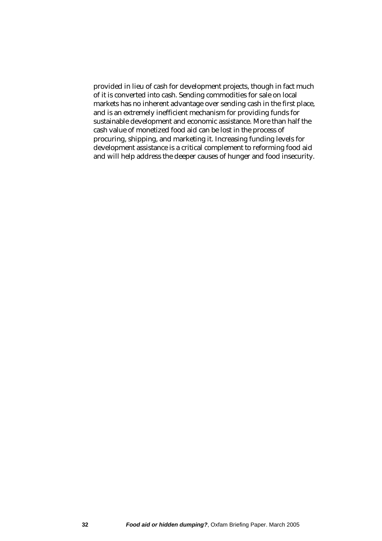provided in lieu of cash for development projects, though in fact much of it is converted into cash. Sending commodities for sale on local markets has no inherent advantage over sending cash in the first place, and is an extremely inefficient mechanism for providing funds for sustainable development and economic assistance. More than half the cash value of monetized food aid can be lost in the process of procuring, shipping, and marketing it. Increasing funding levels for development assistance is a critical complement to reforming food aid and will help address the deeper causes of hunger and food insecurity.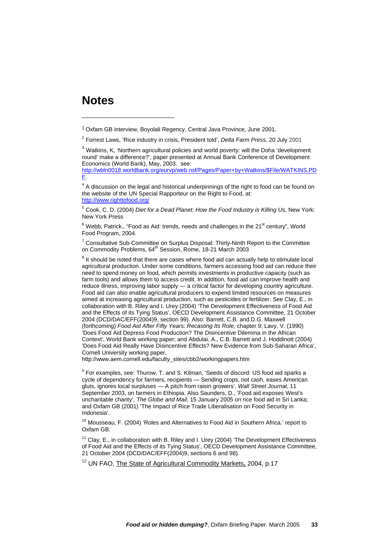## <span id="page-33-0"></span>**Notes**

 $\overline{a}$ 

[http://wbln0018.worldbank.org/eurvp/web.nsf/Pages/Paper+by+Watkins/\\$File/WATKINS.PD](http://wbln0018.worldbank.org/eurvp/web.nsf/Pages/Paper+by+Watkins/$File/WATKINS.PDF) [F](http://wbln0018.worldbank.org/eurvp/web.nsf/Pages/Paper+by+Watkins/$File/WATKINS.PDF).

 $4$  A discussion on the legal and historical underpinnings of the right to food can be found on the website of the UN Special Rapporteur on the Right to Food, at: <http://www.righttofood.org/>

5 Cook, C. D. (2004) *Diet for a Dead Planet: How the Food Industry is Killing Us*, New York: New York Press

 $^6$  Webb, Patrick., "Food as Aid: trends, needs and challenges in the 21<sup>st</sup> century", World Food Program, 2004.

<sup>7</sup> Consultative Sub-Committee on Surplus Disposal: Thirty-Ninth Report to the Committee on Commodity Problems, 64<sup>th</sup> Session, Rome, 18-21 March 2003

 $8$  It should be noted that there are cases where food aid can actually help to stimulate local agricultural production. Under some conditions, farmers accessing food aid can reduce their need to spend money on food, which permits investments in productive capacity (such as farm tools) and allows them to access credit. In addition, food aid can improve health and reduce illness, improving labor supply — a critical factor for developing country agriculture. Food aid can also enable agricultural producers to expend limited resources on measures aimed at increasing agricultural production, such as pesticides or fertilizer. See Clay, E., in collaboration with B. Riley and I. Urey (2004) 'The Development Effectiveness of Food Aid and the Effects of its Tying Status', OECD Development Assistance Committee, 21 October 2004 (DCD/DAC/EFF(2004)9, section 99). Also: Barrett, C.B. and D.G. Maxwell (forthcoming) *Food Aid After Fifty Years: Recasting Its Role*, chapter 9; Lavy, V. (1990) 'Does Food Aid Depress Food Production? The Disincentive Dilemma in the African Context', World Bank working paper; and Abdulai, A., C.B. Barrett and J. Hoddinott (2004) 'Does Food Aid Really Have Disincentive Effects? New Evidence from Sub-Saharan Africa', Cornell University working paper,

http://www.aem.cornell.edu/faculty\_sites/cbb2/workingpapers.htm

 $9$  For examples, see: Thurow, T. and S. Kilman, 'Seeds of discord: US food aid sparks a cycle of dependency for farmers, recipients — Sending crops, not cash, eases American gluts, ignores local surpluses — A pitch from raisin growers', *Wall Street Journal*, 11 September 2003, on farmers in Ethiopia. Also Saunders, D., 'Food aid exposes West's uncharitable charity', *The Globe and Mail*, 15 January 2005 on rice food aid in Sri Lanka; and Oxfam GB (2001) 'The Impact of Rice Trade Liberalisation on Food Security in Indonesia'.

<sup>10</sup> Mousseau, F. (2004) 'Roles and Alternatives to Food Aid in Southern Africa.' report to Oxfam GB.

<sup>11</sup> Clay, E., in collaboration with B. Riley and I. Urey (2004) 'The Development Effectiveness of Food Aid and the Effects of its Tying Status', OECD Development Assistance Committee, 21 October 2004 (DCD/DAC/EFF(2004)9, sections 6 and 98).

12 UN FAO, The State of Agricultural Commodity Markets**,** 2004, p.17

<sup>1</sup> Oxfam GB interview, Boyolali Regency, Central Java Province, June 2001.

<sup>2</sup> Forrest Laws, 'Rice industry in crisis, President told', *Delta Farm Press*, 20 July 2001

<sup>&</sup>lt;sup>3</sup> Watkins, K, 'Northern agricultural policies and world poverty: will the Doha 'development round' make a difference?', paper presented at Annual Bank Conference of Development Economics (World Bank), May, 2003. see: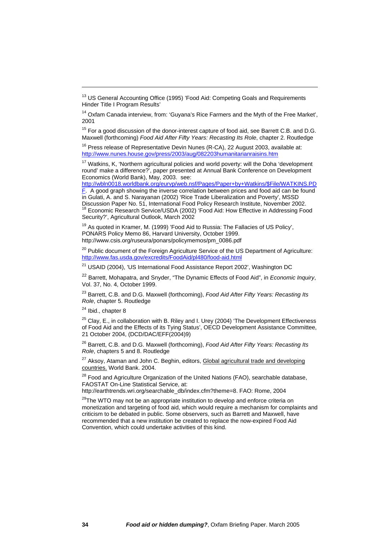<span id="page-34-21"></span><span id="page-34-0"></span> $15$  For a good discussion of the donor-interest capture of food aid, see Barrett C.B. and D.G. Maxwell (forthcoming) *Food Aid After Fifty Years: Recasting Its Role*, chapter 2. Routledge

<sup>16</sup> Press release of Representative Devin Nunes (R-CA), 22 August 2003, available at: <http://www.nunes.house.gov/press/2003/aug/082203humanitarianraisins.htm>

<span id="page-34-11"></span><span id="page-34-3"></span><sup>17</sup> Watkins, K, 'Northern agricultural policies and world poverty: will the Doha 'development round' make a difference?', paper presented at Annual Bank Conference on Development Economics (World Bank), May, 2003. see:

[http://wbln0018.worldbank.org/eurvp/web.nsf/Pages/Paper+by+Watkins/\\$File/WATKINS.PD](http://wbln0018.worldbank.org/eurvp/web.nsf/Pages/Paper+by+Watkins/$File/WATKINS.PDF)

<span id="page-34-4"></span><span id="page-34-1"></span>[F](http://wbln0018.worldbank.org/eurvp/web.nsf/Pages/Paper+by+Watkins/$File/WATKINS.PDF). A good graph showing the inverse correlation between prices and food aid can be found in Gulati, A. and S. Narayanan (2002) 'Rice Trade Liberalization and Poverty', MSSD Discussion Paper No. 51, International Food Policy Research Institute, November 2002.<br><sup>18</sup> Economic Research Service/USDA (2002) 'Food Aid: How Effective in Addressing Food Security?', Agricultural Outlook, March 2002

<span id="page-34-28"></span><span id="page-34-16"></span><sup>19</sup> As quoted in Kramer, M. (1999) 'Food Aid to Russia: The Fallacies of US Policy', PONARS Policy Memo 86, Harvard University, October 1999. http://www.csis.org/ruseura/ponars/policymemos/pm\_0086.pdf

<span id="page-34-12"></span><sup>20</sup> Public document of the Foreign Agriculture Service of the US Department of Agriculture: <http://www.fas.usda.gov/excredits/FoodAid/pl480/food-aid.html>

<sup>21</sup> USAID (2004), 'US International Food Assistance Report 2002', Washington DC

<sup>22</sup> Barrett, Mohapatra, and Snyder, "The Dynamic Effects of Food Aid", in *Economic Inquiry*, Vol. 37, No. 4, October 1999.

<span id="page-34-23"></span><span id="page-34-7"></span><span id="page-34-5"></span>23 Barrett, C.B. and D.G. Maxwell (forthcoming), *Food Aid After Fifty Years: Recasting Its Role*, chapter 5. Routledge

<sup>24</sup> Ibid., chapter 8

<span id="page-34-20"></span><span id="page-34-15"></span> $\overline{a}$ 

<span id="page-34-22"></span><span id="page-34-8"></span> $25$  Clay, E., in collaboration with B. Riley and I. Urey (2004) 'The Development Effectiveness of Food Aid and the Effects of its Tying Status', OECD Development Assistance Committee, 21 October 2004, (DCD/DAC/EFF(2004)9)

<span id="page-34-17"></span>26 Barrett, C.B. and D.G. Maxwell (forthcoming), *Food Aid After Fifty Years: Recasting Its Role*, chapters 5 and 8. Routledge

<sup>27</sup> Aksoy, Ataman and John C. Beghin, editors, Global agricultural trade and developing countries. World Bank. 2004.

<span id="page-34-18"></span><span id="page-34-2"></span><sup>28</sup> Food and Agriculture Organization of the United Nations (FAO), searchable database, FAOSTAT On-Line Statistical Service, at:

<span id="page-34-27"></span><span id="page-34-9"></span>http://earthtrends.wri.org/searchable\_db/index.cfm?theme=8. FAO: Rome, 2004

<span id="page-34-26"></span><span id="page-34-25"></span><span id="page-34-24"></span><span id="page-34-19"></span><span id="page-34-14"></span><span id="page-34-13"></span><span id="page-34-10"></span><span id="page-34-6"></span><sup>29</sup>The WTO mav not be an appropriate institution to develop and enforce criteria on monetization and targeting of food aid, which would require a mechanism for complaints and criticism to be debated in public. Some observers, such as Barrett and Maxwell, have recommended that a new institution be created to replace the now-expired Food Aid Convention, which could undertake activities of this kind.

<sup>&</sup>lt;sup>13</sup> US General Accounting Office (1995) 'Food Aid: Competing Goals and Requirements Hinder Title I Program Results'

<sup>&</sup>lt;sup>14</sup> Oxfam Canada interview, from: 'Guyana's Rice Farmers and the Myth of the Free Market', 2001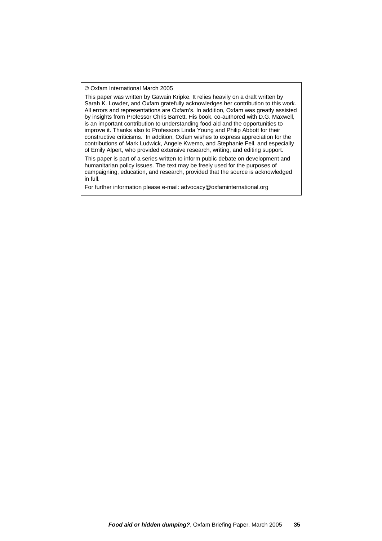© Oxfam International March 2005

This paper was written by Gawain Kripke. It relies heavily on a draft written by Sarah K. Lowder, and Oxfam gratefully acknowledges her contribution to this work. All errors and representations are Oxfam's. In addition, Oxfam was greatly assisted by insights from Professor Chris Barrett. His book, co-authored with D.G. Maxwell, is an important contribution to understanding food aid and the opportunities to improve it. Thanks also to Professors Linda Young and Philip Abbott for their constructive criticisms. In addition, Oxfam wishes to express appreciation for the contributions of Mark Ludwick, Angele Kwemo, and Stephanie Fell, and especially of Emily Alpert, who provided extensive research, writing, and editing support.

This paper is part of a series written to inform public debate on development and humanitarian policy issues. The text may be freely used for the purposes of campaigning, education, and research, provided that the source is acknowledged in full.

For further information please e-mail: advocacy@oxfaminternational.org